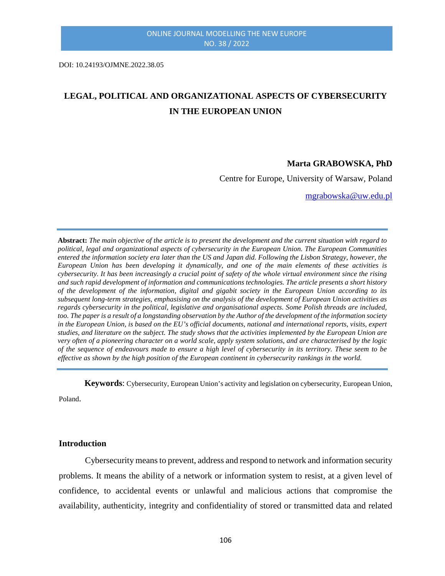DOI: 10.24193/OJMNE.2022.38.05

# **LEGAL, POLITICAL AND ORGANIZATIONAL ASPECTS OF CYBERSECURITY IN THE EUROPEAN UNION**

#### **Marta GRABOWSKA, PhD**

Centre for Europe, University of Warsaw, Poland

[mgrabowska@uw.edu.pl](mailto:mgrabowska@uw.edu.pl)

**Abstract:** *The main objective of the article is to present the development and the current situation with regard to political, legal and organizational aspects of cybersecurity in the European Union. The European Communities entered the information society era later than the US and Japan did. Following the Lisbon Strategy, however, the European Union has been developing it dynamically, and one of the main elements of these activities is cybersecurity. It has been increasingly a crucial point of safety of the whole virtual environment since the rising and such rapid development of information and communications technologies. The article presents a short history of the development of the information, digital and gigabit society in the European Union according to its subsequent long-term strategies, emphasising on the analysis of the development of European Union activities as regards cybersecurity in the political, legislative and organisational aspects. Some Polish threads are included, too. The paper is a result of a longstanding observation by the Author of the development of the information society in the European Union, is based on the EU's official documents, national and international reports, visits, expert studies, and literature on the subject. The study shows that the activities implemented by the European Union are very often of a pioneering character on a world scale, apply system solutions, and are characterised by the logic of the sequence of endeavours made to ensure a high level of cybersecurity in its territory. These seem to be effective as shown by the high position of the European continent in cybersecurity rankings in the world.*

**Keywords**: Cybersecurity, European Union's activity and legislation on cybersecurity, European Union,

Poland.

# **Introduction**

Cybersecurity means to prevent, address and respond to network and information security problems. It means the ability of a network or information system to resist, at a given level of confidence, to accidental events or unlawful and malicious actions that compromise the availability, authenticity, integrity and confidentiality of stored or transmitted data and related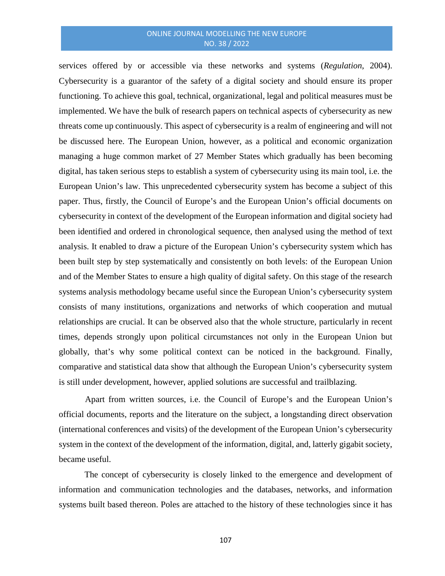services offered by or accessible via these networks and systems (*Regulation*, 2004). Cybersecurity is a guarantor of the safety of a digital society and should ensure its proper functioning. To achieve this goal, technical, organizational, legal and political measures must be implemented. We have the bulk of research papers on technical aspects of cybersecurity as new threats come up continuously. This aspect of cybersecurity is a realm of engineering and will not be discussed here. The European Union, however, as a political and economic organization managing a huge common market of 27 Member States which gradually has been becoming digital, has taken serious steps to establish a system of cybersecurity using its main tool, i.e. the European Union's law. This unprecedented cybersecurity system has become a subject of this paper. Thus, firstly, the Council of Europe's and the European Union's official documents on cybersecurity in context of the development of the European information and digital society had been identified and ordered in chronological sequence, then analysed using the method of text analysis. It enabled to draw a picture of the European Union's cybersecurity system which has been built step by step systematically and consistently on both levels: of the European Union and of the Member States to ensure a high quality of digital safety. On this stage of the research systems analysis methodology became useful since the European Union's cybersecurity system consists of many institutions, organizations and networks of which cooperation and mutual relationships are crucial. It can be observed also that the whole structure, particularly in recent times, depends strongly upon political circumstances not only in the European Union but globally, that's why some political context can be noticed in the background. Finally, comparative and statistical data show that although the European Union's cybersecurity system is still under development, however, applied solutions are successful and trailblazing.

Apart from written sources, i.e. the Council of Europe's and the European Union's official documents, reports and the literature on the subject, a longstanding direct observation (international conferences and visits) of the development of the European Union's cybersecurity system in the context of the development of the information, digital, and, latterly gigabit society, became useful.

The concept of cybersecurity is closely linked to the emergence and development of information and communication technologies and the databases, networks, and information systems built based thereon. Poles are attached to the history of these technologies since it has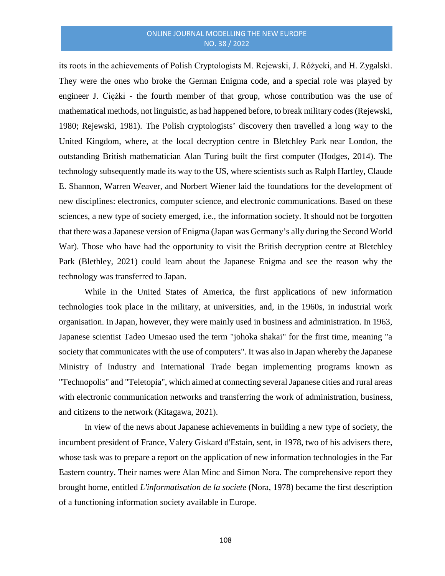its roots in the achievements of Polish Cryptologists M. Rejewski, J. Różycki, and H. Zygalski. They were the ones who broke the German Enigma code, and a special role was played by engineer J. Ciężki - the fourth member of that group, whose contribution was the use of mathematical methods, not linguistic, as had happened before, to break military codes (Rejewski, 1980; Rejewski, 1981). The Polish cryptologists' discovery then travelled a long way to the United Kingdom, where, at the local decryption centre in Bletchley Park near London, the outstanding British mathematician Alan Turing built the first computer (Hodges, 2014). The technology subsequently made its way to the US, where scientists such as Ralph Hartley, Claude E. Shannon, Warren Weaver, and Norbert Wiener laid the foundations for the development of new disciplines: electronics, computer science, and electronic communications. Based on these sciences, a new type of society emerged, i.e., the information society. It should not be forgotten that there was a Japanese version of Enigma (Japan was Germany's ally during the Second World War). Those who have had the opportunity to visit the British decryption centre at Bletchley Park (Blethley, 2021) could learn about the Japanese Enigma and see the reason why the technology was transferred to Japan.

While in the United States of America, the first applications of new information technologies took place in the military, at universities, and, in the 1960s, in industrial work organisation. In Japan, however, they were mainly used in business and administration. In 1963, Japanese scientist Tadeo Umesao used the term "johoka shakai" for the first time, meaning "a society that communicates with the use of computers". It was also in Japan whereby the Japanese Ministry of Industry and International Trade began implementing programs known as "Technopolis" and "Teletopia", which aimed at connecting severalJapanese cities and rural areas with electronic communication networks and transferring the work of administration, business, and citizens to the network (Kitagawa, 2021).

In view of the news about Japanese achievements in building a new type of society, the incumbent president of France, Valery Giskard d'Estain, sent, in 1978, two of his advisers there, whose task was to prepare a report on the application of new information technologies in the Far Eastern country. Their names were Alan Minc and Simon Nora. The comprehensive report they brought home, entitled *L'informatisation de la societe* (Nora, 1978) became the first description of a functioning information society available in Europe.

108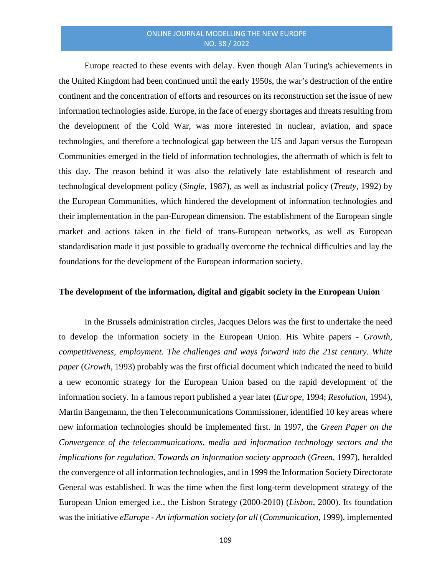Europe reacted to these events with delay. Even though Alan Turing's achievements in the United Kingdom had been continued until the early 1950s, the war's destruction of the entire continent and the concentration of efforts and resources on its reconstruction set the issue of new information technologies aside. Europe, in the face of energy shortages and threats resulting from the development of the Cold War, was more interested in nuclear, aviation, and space technologies, and therefore a technological gap between the US and Japan versus the European Communities emerged in the field of information technologies, the aftermath of which is felt to this day. The reason behind it was also the relatively late establishment of research and technological development policy (*Single*, 1987), as well as industrial policy (*Treaty*, 1992) by the European Communities, which hindered the development of information technologies and their implementation in the pan-European dimension. The establishment of the European single market and actions taken in the field of trans-European networks, as well as European standardisation made it just possible to gradually overcome the technical difficulties and lay the foundations for the development of the European information society.

# **The development of the information, digital and gigabit society in the European Union**

In the Brussels administration circles, Jacques Delors was the first to undertake the need to develop the information society in the European Union. His White papers - *Growth, competitiveness, employment. The challenges and ways forward into the 21st century. White paper* (*Growth*, 1993) probably was the first official document which indicated the need to build a new economic strategy for the European Union based on the rapid development of the information society. In a famous report published a year later (*Europe*, 1994; *Resolution,* 1994), Martin Bangemann, the then Telecommunications Commissioner, identified 10 key areas where new information technologies should be implemented first. In 1997, the *Green Paper on the Convergence of the telecommunications, media and information technology sectors and the implications for regulation. Towards an information society approach* (*Green*, 1997), heralded the convergence of all information technologies, and in 1999 the Information Society Directorate General was established. It was the time when the first long-term development strategy of the European Union emerged i.e., the Lisbon Strategy (2000-2010) (*Lisbon*, 2000). Its foundation was the initiative *eEurope - An information society for all* (*Communication*, 1999), implemented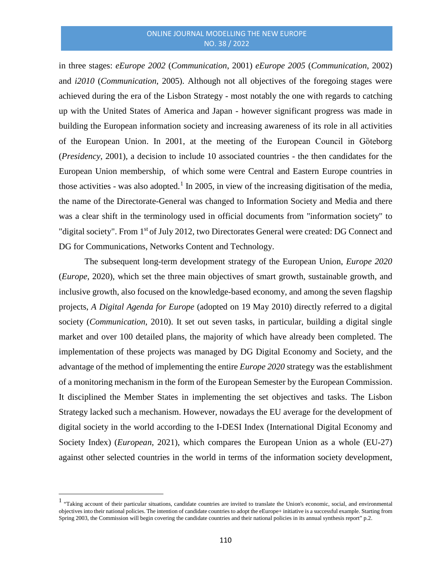in three stages: *eEurope 2002* (*Communication*, 2001) *eEurope 2005* (*Communication*, 2002) and *i2010* (*Communication*, 2005). Although not all objectives of the foregoing stages were achieved during the era of the Lisbon Strategy - most notably the one with regards to catching up with the United States of America and Japan - however significant progress was made in building the European information society and increasing awareness of its role in all activities of the European Union. In 2001, at the meeting of the European Council in Göteborg (*Presidency*, 2001), a decision to include 10 associated countries - the then candidates for the European Union membership, of which some were Central and Eastern Europe countries in those activities - was also adopted.<sup>[1](#page-4-0)</sup> In 2005, in view of the increasing digitisation of the media, the name of the Directorate-General was changed to Information Society and Media and there was a clear shift in the terminology used in official documents from "information society" to "digital society". From 1<sup>st</sup> of July 2012, two Directorates General were created: DG Connect and DG for Communications, Networks Content and Technology.

The subsequent long-term development strategy of the European Union, *Europe 2020* (*Europe*, 2020), which set the three main objectives of smart growth, sustainable growth, and inclusive growth, also focused on the knowledge-based economy, and among the seven flagship projects, *A Digital Agenda for Europe* (adopted on 19 May 2010) directly referred to a digital society (*Communication*, 2010). It set out seven tasks, in particular, building a digital single market and over 100 detailed plans, the majority of which have already been completed. The implementation of these projects was managed by DG Digital Economy and Society, and the advantage of the method of implementing the entire *Europe 2020* strategy was the establishment of a monitoring mechanism in the form of the European Semester by the European Commission. It disciplined the Member States in implementing the set objectives and tasks. The Lisbon Strategy lacked such a mechanism. However, nowadays the EU average for the development of digital society in the world according to the I-DESI Index (International Digital Economy and Society Index) (*European*, 2021), which compares the European Union as a whole (EU-27) against other selected countries in the world in terms of the information society development,

 $\overline{a}$ 

<span id="page-4-0"></span><sup>&</sup>lt;sup>1</sup> "Taking account of their particular situations, candidate countries are invited to translate the Union's economic, social, and environmental objectives into their national policies. The intention of candidate countries to adopt the eEurope+ initiative is a successful example. Starting from Spring 2003, the Commission will begin covering the candidate countries and their national policies in its annual synthesis report" p.2.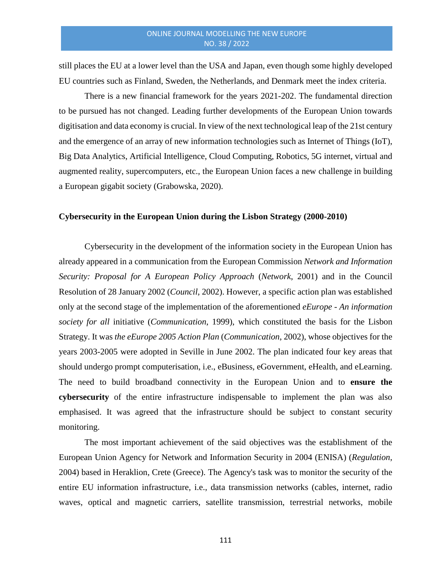still places the EU at a lower level than the USA and Japan, even though some highly developed EU countries such as Finland, Sweden, the Netherlands, and Denmark meet the index criteria.

There is a new financial framework for the years 2021-202. The fundamental direction to be pursued has not changed. Leading further developments of the European Union towards digitisation and data economy is crucial. In view of the next technological leap of the 21st century and the emergence of an array of new information technologies such as Internet of Things (IoT), Big Data Analytics, Artificial Intelligence, Cloud Computing, Robotics, 5G internet, virtual and augmented reality, supercomputers, etc., the European Union faces a new challenge in building a European gigabit society (Grabowska, 2020).

#### **Cybersecurity in the European Union during the Lisbon Strategy (2000-2010)**

Cybersecurity in the development of the information society in the European Union has already appeared in a communication from the European Commission *Network and Information Security: Proposal for A European Policy Approach* (*Network*, 2001) and in the Council Resolution of 28 January 2002 (*Council*, 2002). However, a specific action plan was established only at the second stage of the implementation of the aforementioned *eEurope - An information society for all* initiative (*Communication*, 1999), which constituted the basis for the Lisbon Strategy. It was *the eEurope 2005 Action Plan* (*Communication*, 2002), whose objectives for the years 2003-2005 were adopted in Seville in June 2002. The plan indicated four key areas that should undergo prompt computerisation, i.e., eBusiness, eGovernment, eHealth, and eLearning. The need to build broadband connectivity in the European Union and to **ensure the cybersecurity** of the entire infrastructure indispensable to implement the plan was also emphasised. It was agreed that the infrastructure should be subject to constant security monitoring.

The most important achievement of the said objectives was the establishment of the European Union Agency for Network and Information Security in 2004 (ENISA) (*Regulation*, 2004) based in Heraklion, Crete (Greece). The Agency's task was to monitor the security of the entire EU information infrastructure, i.e., data transmission networks (cables, internet, radio waves, optical and magnetic carriers, satellite transmission, terrestrial networks, mobile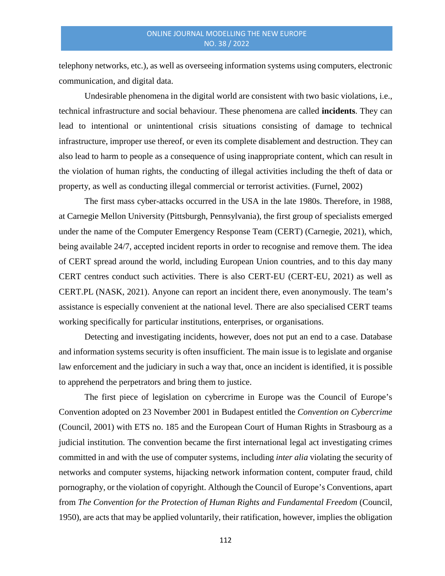telephony networks, etc.), as well as overseeing information systems using computers, electronic communication, and digital data.

Undesirable phenomena in the digital world are consistent with two basic violations, i.e., technical infrastructure and social behaviour. These phenomena are called **incidents**. They can lead to intentional or unintentional crisis situations consisting of damage to technical infrastructure, improper use thereof, or even its complete disablement and destruction. They can also lead to harm to people as a consequence of using inappropriate content, which can result in the violation of human rights, the conducting of illegal activities including the theft of data or property, as well as conducting illegal commercial or terrorist activities. (Furnel, 2002)

The first mass cyber-attacks occurred in the USA in the late 1980s. Therefore, in 1988, at Carnegie Mellon University (Pittsburgh, Pennsylvania), the first group of specialists emerged under the name of the Computer Emergency Response Team (CERT) (Carnegie, 2021), which, being available 24/7, accepted incident reports in order to recognise and remove them. The idea of CERT spread around the world, including European Union countries, and to this day many CERT centres conduct such activities. There is also CERT-EU (CERT-EU, 2021) as well as CERT.PL (NASK, 2021). Anyone can report an incident there, even anonymously. The team's assistance is especially convenient at the national level. There are also specialised CERT teams working specifically for particular institutions, enterprises, or organisations.

Detecting and investigating incidents, however, does not put an end to a case. Database and information systems security is often insufficient. The main issue is to legislate and organise law enforcement and the judiciary in such a way that, once an incident is identified, it is possible to apprehend the perpetrators and bring them to justice.

The first piece of legislation on cybercrime in Europe was the Council of Europe's Convention adopted on 23 November 2001 in Budapest entitled the *Convention on Cybercrime*  (Council, 2001) with ETS no. 185 and the European Court of Human Rights in Strasbourg as a judicial institution. The convention became the first international legal act investigating crimes committed in and with the use of computer systems, including *inter alia* violating the security of networks and computer systems, hijacking network information content, computer fraud, child pornography, or the violation of copyright. Although the Council of Europe's Conventions, apart from *The Convention for the Protection of Human Rights and Fundamental Freedom* (Council, 1950), are acts that may be applied voluntarily, their ratification, however, implies the obligation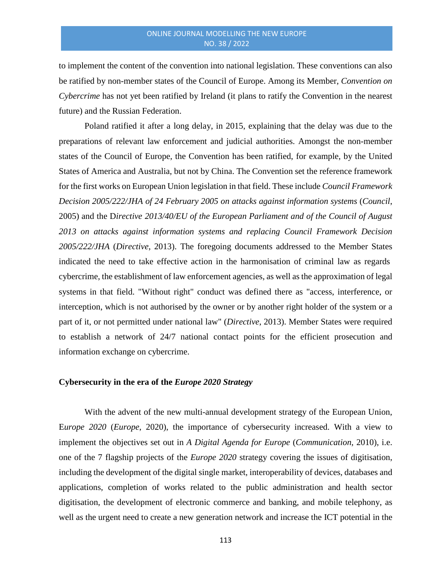to implement the content of the convention into national legislation. These conventions can also be ratified by non-member states of the Council of Europe. Among its Member, *Convention on Cybercrime* has not yet been ratified by Ireland (it plans to ratify the Convention in the nearest future) and the Russian Federation.

Poland ratified it after a long delay, in 2015, explaining that the delay was due to the preparations of relevant law enforcement and judicial authorities. Amongst the non-member states of the Council of Europe, the Convention has been ratified, for example, by the United States of America and Australia, but not by China. The Convention set the reference framework for the first works on European Union legislation in that field. These include *Council Framework Decision 2005/222/JHA of 24 February 2005 on attacks against information systems* (*Council*, 2005) and the D*irective 2013/40/EU of the European Parliament and of the Council of August 2013 on attacks against information systems and replacing Council Framework Decision 2005/222/JHA* (*Directive*, 2013). The foregoing documents addressed to the Member States indicated the need to take effective action in the harmonisation of criminal law as regards cybercrime, the establishment of law enforcement agencies, as well as the approximation of legal systems in that field. "Without right" conduct was defined there as "access, interference, or interception, which is not authorised by the owner or by another right holder of the system or a part of it, or not permitted under national law" (*Directive*, 2013). Member States were required to establish a network of 24/7 national contact points for the efficient prosecution and information exchange on cybercrime.

#### **Cybersecurity in the era of the** *Europe 2020 Strategy*

With the advent of the new multi-annual development strategy of the European Union, E*urope 2020* (*Europe*, 2020), the importance of cybersecurity increased. With a view to implement the objectives set out in *A Digital Agenda for Europe* (*Communication*, 2010), i.e. one of the 7 flagship projects of the *Europe 2020* strategy covering the issues of digitisation, including the development of the digital single market, interoperability of devices, databases and applications, completion of works related to the public administration and health sector digitisation, the development of electronic commerce and banking, and mobile telephony, as well as the urgent need to create a new generation network and increase the ICT potential in the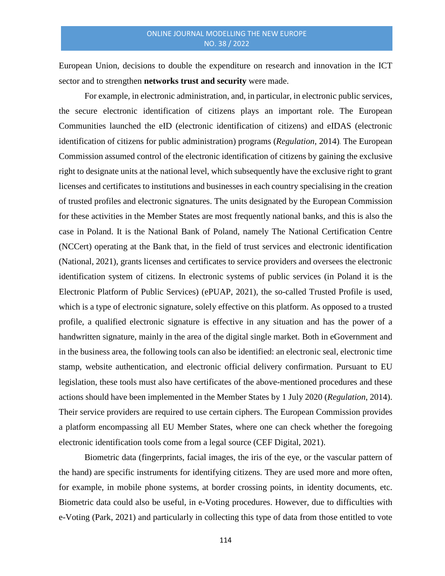European Union, decisions to double the expenditure on research and innovation in the ICT sector and to strengthen **networks trust and security** were made.

For example, in electronic administration, and, in particular, in electronic public services, the secure electronic identification of citizens plays an important role. The European Communities launched the eID (electronic identification of citizens) and eIDAS (electronic identification of citizens for public administration) programs (*Regulation*, 2014). The European Commission assumed control of the electronic identification of citizens by gaining the exclusive right to designate units at the national level, which subsequently have the exclusive right to grant licenses and certificates to institutions and businesses in each country specialising in the creation of trusted profiles and electronic signatures. The units designated by the European Commission for these activities in the Member States are most frequently national banks, and this is also the case in Poland. It is the National Bank of Poland, namely The National Certification Centre (NCCert) operating at the Bank that, in the field of trust services and electronic identification (National, 2021), grants licenses and certificates to service providers and oversees the electronic identification system of citizens. In electronic systems of public services (in Poland it is the Electronic Platform of Public Services) (ePUAP, 2021), the so-called Trusted Profile is used, which is a type of electronic signature, solely effective on this platform. As opposed to a trusted profile, a qualified electronic signature is effective in any situation and has the power of a handwritten signature, mainly in the area of the digital single market. Both in eGovernment and in the business area, the following tools can also be identified: an electronic seal, electronic time stamp, website authentication, and electronic official delivery confirmation. Pursuant to EU legislation, these tools must also have certificates of the above-mentioned procedures and these actions should have been implemented in the Member States by 1 July 2020 (*Regulation*, 2014). Their service providers are required to use certain ciphers. The European Commission provides a platform encompassing all EU Member States, where one can check whether the foregoing electronic identification tools come from a legal source (CEF Digital, 2021).

Biometric data (fingerprints, facial images, the iris of the eye, or the vascular pattern of the hand) are specific instruments for identifying citizens. They are used more and more often, for example, in mobile phone systems, at border crossing points, in identity documents, etc. Biometric data could also be useful, in e-Voting procedures. However, due to difficulties with e-Voting (Park, 2021) and particularly in collecting this type of data from those entitled to vote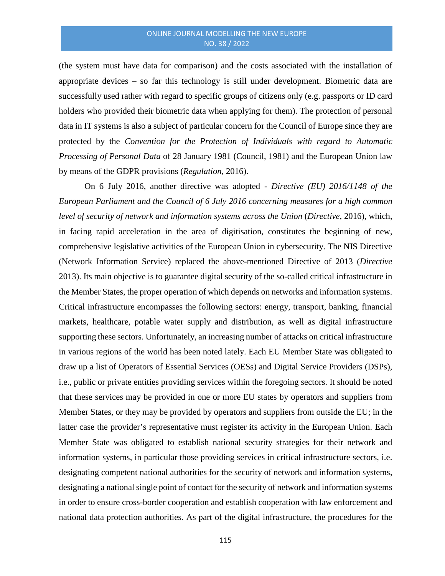(the system must have data for comparison) and the costs associated with the installation of appropriate devices – so far this technology is still under development. Biometric data are successfully used rather with regard to specific groups of citizens only (e.g. passports or ID card holders who provided their biometric data when applying for them). The protection of personal data in IT systems is also a subject of particular concern for the Council of Europe since they are protected by the *Convention for the Protection of Individuals with regard to Automatic Processing of Personal Data* of 28 January 1981 (Council, 1981) and the European Union law by means of the GDPR provisions (*Regulation*, 2016).

On 6 July 2016, another directive was adopted - *Directive (EU) 2016/1148 of the European Parliament and the Council of 6 July 2016 concerning measures for a high common level of security of network and information systems across the Union* (*Directive*, 2016), which, in facing rapid acceleration in the area of digitisation, constitutes the beginning of new, comprehensive legislative activities of the European Union in cybersecurity. The NIS Directive (Network Information Service) replaced the above-mentioned Directive of 2013 (*Directive* 2013). Its main objective is to guarantee digital security of the so-called critical infrastructure in the Member States, the proper operation of which depends on networks and information systems. Critical infrastructure encompasses the following sectors: energy, transport, banking, financial markets, healthcare, potable water supply and distribution, as well as digital infrastructure supporting these sectors. Unfortunately, an increasing number of attacks on critical infrastructure in various regions of the world has been noted lately. Each EU Member State was obligated to draw up a list of Operators of Essential Services (OESs) and Digital Service Providers (DSPs), i.e., public or private entities providing services within the foregoing sectors. It should be noted that these services may be provided in one or more EU states by operators and suppliers from Member States, or they may be provided by operators and suppliers from outside the EU; in the latter case the provider's representative must register its activity in the European Union. Each Member State was obligated to establish national security strategies for their network and information systems, in particular those providing services in critical infrastructure sectors, i.e. designating competent national authorities for the security of network and information systems, designating a national single point of contact for the security of network and information systems in order to ensure cross-border cooperation and establish cooperation with law enforcement and national data protection authorities. As part of the digital infrastructure, the procedures for the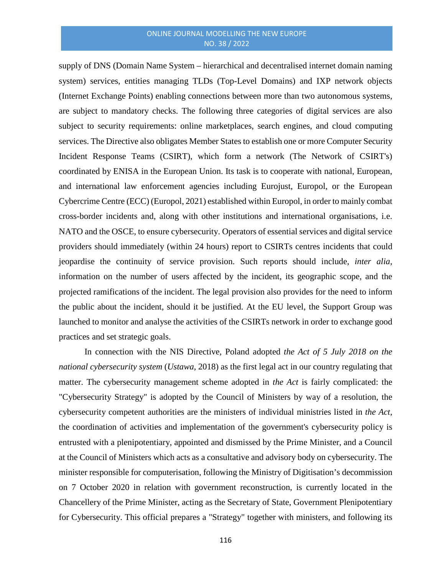supply of DNS (Domain Name System – hierarchical and decentralised internet domain naming system) services, entities managing TLDs (Top-Level Domains) and IXP network objects (Internet Exchange Points) enabling connections between more than two autonomous systems, are subject to mandatory checks. The following three categories of digital services are also subject to security requirements: online marketplaces, search engines, and cloud computing services. The Directive also obligates Member States to establish one or more Computer Security Incident Response Teams (CSIRT), which form a network (The Network of CSIRT's) coordinated by ENISA in the European Union. Its task is to cooperate with national, European, and international law enforcement agencies including Eurojust, Europol, or the European Cybercrime Centre (ECC) (Europol, 2021) established within Europol, in order to mainly combat cross-border incidents and, along with other institutions and international organisations, i.e. NATO and the OSCE, to ensure cybersecurity. Operators of essential services and digital service providers should immediately (within 24 hours) report to CSIRTs centres incidents that could jeopardise the continuity of service provision. Such reports should include, *inter alia*, information on the number of users affected by the incident, its geographic scope, and the projected ramifications of the incident. The legal provision also provides for the need to inform the public about the incident, should it be justified. At the EU level, the Support Group was launched to monitor and analyse the activities of the CSIRTs network in order to exchange good practices and set strategic goals.

In connection with the NIS Directive, Poland adopted *the Act of 5 July 2018 on the national cybersecurity system* (*Ustawa*, 2018) as the first legal act in our country regulating that matter. The cybersecurity management scheme adopted in *the Act* is fairly complicated: the "Cybersecurity Strategy" is adopted by the Council of Ministers by way of a resolution, the cybersecurity competent authorities are the ministers of individual ministries listed in *the Act*, the coordination of activities and implementation of the government's cybersecurity policy is entrusted with a plenipotentiary, appointed and dismissed by the Prime Minister, and a Council at the Council of Ministers which acts as a consultative and advisory body on cybersecurity. The minister responsible for computerisation, following the Ministry of Digitisation's decommission on 7 October 2020 in relation with government reconstruction, is currently located in the Chancellery of the Prime Minister, acting as the Secretary of State, Government Plenipotentiary for Cybersecurity. This official prepares a "Strategy" together with ministers, and following its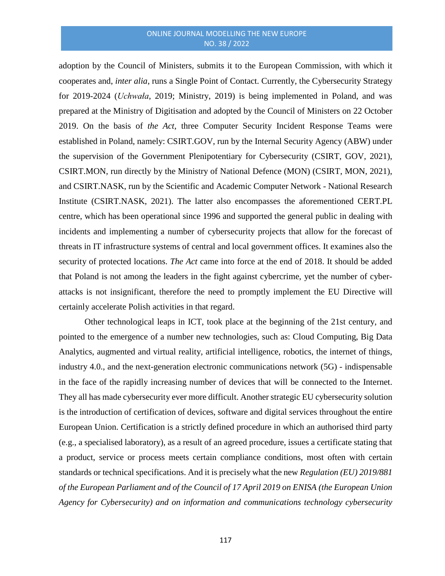adoption by the Council of Ministers, submits it to the European Commission, with which it cooperates and, *inter alia*, runs a Single Point of Contact. Currently, the Cybersecurity Strategy for 2019-2024 (*Uchwała*, 2019; Ministry, 2019) is being implemented in Poland, and was prepared at the Ministry of Digitisation and adopted by the Council of Ministers on 22 October 2019. On the basis of *the Act*, three Computer Security Incident Response Teams were established in Poland, namely: CSIRT.GOV, run by the Internal Security Agency (ABW) under the supervision of the Government Plenipotentiary for Cybersecurity (CSIRT, GOV, 2021), CSIRT.MON, run directly by the Ministry of National Defence (MON) (CSIRT, MON, 2021), and CSIRT.NASK, run by the Scientific and Academic Computer Network - National Research Institute (CSIRT.NASK, 2021). The latter also encompasses the aforementioned CERT.PL centre, which has been operational since 1996 and supported the general public in dealing with incidents and implementing a number of cybersecurity projects that allow for the forecast of threats in IT infrastructure systems of central and local government offices. It examines also the security of protected locations. *The Act* came into force at the end of 2018. It should be added that Poland is not among the leaders in the fight against cybercrime, yet the number of cyberattacks is not insignificant, therefore the need to promptly implement the EU Directive will certainly accelerate Polish activities in that regard.

Other technological leaps in ICT, took place at the beginning of the 21st century, and pointed to the emergence of a number new technologies, such as: Cloud Computing, Big Data Analytics, augmented and virtual reality, artificial intelligence, robotics, the internet of things, industry 4.0., and the next-generation electronic communications network (5G) - indispensable in the face of the rapidly increasing number of devices that will be connected to the Internet. They all has made cybersecurity ever more difficult. Another strategic EU cybersecurity solution is the introduction of certification of devices, software and digital services throughout the entire European Union. Certification is a strictly defined procedure in which an authorised third party (e.g., a specialised laboratory), as a result of an agreed procedure, issues a certificate stating that a product, service or process meets certain compliance conditions, most often with certain standards or technical specifications. And it is precisely what the new *Regulation (EU) 2019/881 of the European Parliament and of the Council of 17 April 2019 on ENISA (the European Union Agency for Cybersecurity) and on information and communications technology cybersecurity*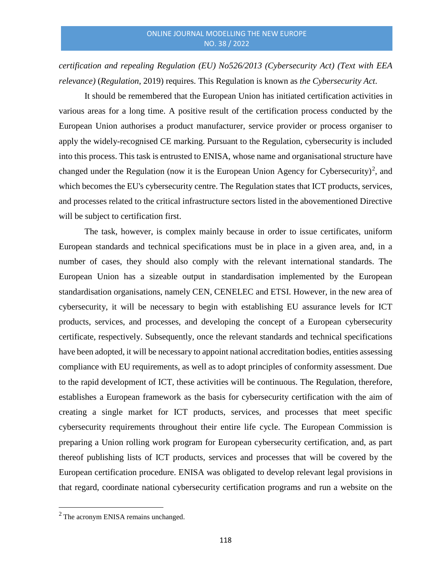*certification and repealing Regulation (EU) No526/2013 (Cybersecurity Act) (Text with EEA relevance)* (*Regulation*, 2019) requires. This Regulation is known as *the Cybersecurity Act*.

It should be remembered that the European Union has initiated certification activities in various areas for a long time. A positive result of the certification process conducted by the European Union authorises a product manufacturer, service provider or process organiser to apply the widely-recognised CE marking. Pursuant to the Regulation, cybersecurity is included into this process. This task is entrusted to ENISA, whose name and organisational structure have changed under the Regulation (now it is the European Union Agency for Cybersecurity)<sup>[2](#page-12-0)</sup>, and which becomes the EU's cybersecurity centre. The Regulation states that ICT products, services, and processes related to the critical infrastructure sectors listed in the abovementioned Directive will be subject to certification first.

The task, however, is complex mainly because in order to issue certificates, uniform European standards and technical specifications must be in place in a given area, and, in a number of cases, they should also comply with the relevant international standards. The European Union has a sizeable output in standardisation implemented by the European standardisation organisations, namely CEN, CENELEC and ETSI. However, in the new area of cybersecurity, it will be necessary to begin with establishing EU assurance levels for ICT products, services, and processes, and developing the concept of a European cybersecurity certificate, respectively. Subsequently, once the relevant standards and technical specifications have been adopted, it will be necessary to appoint national accreditation bodies, entities assessing compliance with EU requirements, as well as to adopt principles of conformity assessment. Due to the rapid development of ICT, these activities will be continuous. The Regulation, therefore, establishes a European framework as the basis for cybersecurity certification with the aim of creating a single market for ICT products, services, and processes that meet specific cybersecurity requirements throughout their entire life cycle. The European Commission is preparing a Union rolling work program for European cybersecurity certification, and, as part thereof publishing lists of ICT products, services and processes that will be covered by the European certification procedure. ENISA was obligated to develop relevant legal provisions in that regard, coordinate national cybersecurity certification programs and run a website on the

 $\overline{\phantom{a}}$ 

<span id="page-12-0"></span> $2$  The acronym ENISA remains unchanged.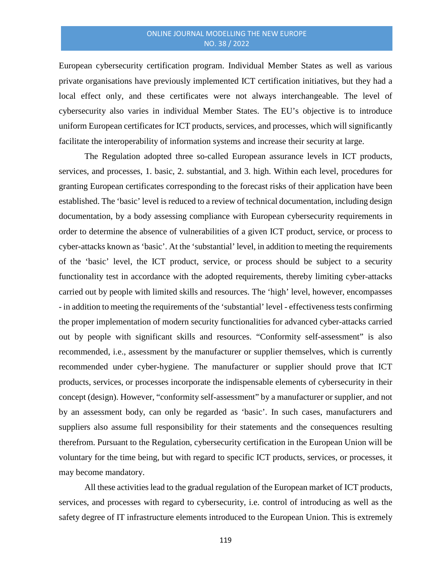European cybersecurity certification program. Individual Member States as well as various private organisations have previously implemented ICT certification initiatives, but they had a local effect only, and these certificates were not always interchangeable. The level of cybersecurity also varies in individual Member States. The EU's objective is to introduce uniform European certificates for ICT products, services, and processes, which will significantly facilitate the interoperability of information systems and increase their security at large.

The Regulation adopted three so-called European assurance levels in ICT products, services, and processes, 1. basic, 2. substantial, and 3. high. Within each level, procedures for granting European certificates corresponding to the forecast risks of their application have been established. The 'basic' level is reduced to a review of technical documentation, including design documentation, by a body assessing compliance with European cybersecurity requirements in order to determine the absence of vulnerabilities of a given ICT product, service, or process to cyber-attacks known as 'basic'. At the 'substantial' level, in addition to meeting the requirements of the 'basic' level, the ICT product, service, or process should be subject to a security functionality test in accordance with the adopted requirements, thereby limiting cyber-attacks carried out by people with limited skills and resources. The 'high' level, however, encompasses - in addition to meeting the requirements of the 'substantial' level - effectiveness tests confirming the proper implementation of modern security functionalities for advanced cyber-attacks carried out by people with significant skills and resources. "Conformity self-assessment" is also recommended, i.e., assessment by the manufacturer or supplier themselves, which is currently recommended under cyber-hygiene. The manufacturer or supplier should prove that ICT products, services, or processes incorporate the indispensable elements of cybersecurity in their concept (design). However, "conformity self-assessment" by a manufacturer or supplier, and not by an assessment body, can only be regarded as 'basic'. In such cases, manufacturers and suppliers also assume full responsibility for their statements and the consequences resulting therefrom. Pursuant to the Regulation, cybersecurity certification in the European Union will be voluntary for the time being, but with regard to specific ICT products, services, or processes, it may become mandatory.

All these activities lead to the gradual regulation of the European market of ICT products, services, and processes with regard to cybersecurity, i.e. control of introducing as well as the safety degree of IT infrastructure elements introduced to the European Union. This is extremely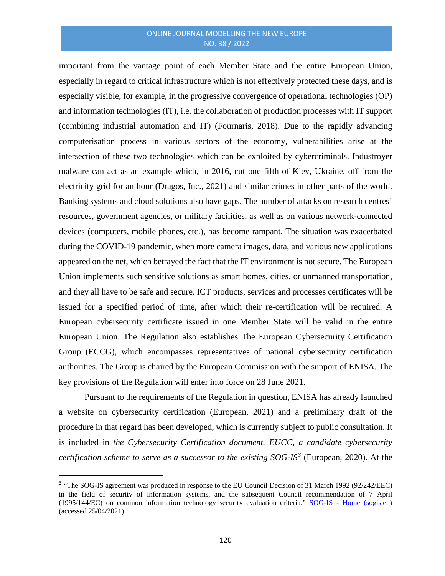important from the vantage point of each Member State and the entire European Union, especially in regard to critical infrastructure which is not effectively protected these days, and is especially visible, for example, in the progressive convergence of operational technologies (OP) and information technologies (IT), i.e. the collaboration of production processes with IT support (combining industrial automation and IT) (Fournaris, 2018). Due to the rapidly advancing computerisation process in various sectors of the economy, vulnerabilities arise at the intersection of these two technologies which can be exploited by cybercriminals. Industroyer malware can act as an example which, in 2016, cut one fifth of Kiev, Ukraine, off from the electricity grid for an hour (Dragos, Inc., 2021) and similar crimes in other parts of the world. Banking systems and cloud solutions also have gaps. The number of attacks on research centres' resources, government agencies, or military facilities, as well as on various network-connected devices (computers, mobile phones, etc.), has become rampant. The situation was exacerbated during the COVID-19 pandemic, when more camera images, data, and various new applications appeared on the net, which betrayed the fact that the IT environment is not secure. The European Union implements such sensitive solutions as smart homes, cities, or unmanned transportation, and they all have to be safe and secure. ICT products, services and processes certificates will be issued for a specified period of time, after which their re-certification will be required. A European cybersecurity certificate issued in one Member State will be valid in the entire European Union. The Regulation also establishes The European Cybersecurity Certification Group (ECCG), which encompasses representatives of national cybersecurity certification authorities. The Group is chaired by the European Commission with the support of ENISA. The key provisions of the Regulation will enter into force on 28 June 2021.

Pursuant to the requirements of the Regulation in question, ENISA has already launched a website on cybersecurity certification (European, 2021) and a preliminary draft of the procedure in that regard has been developed, which is currently subject to public consultation. It is included in *the Cybersecurity Certification document. EUCC, a candidate cybersecurity certification scheme to serve as a successor to the existing SOG-IS[3](#page-14-0)* (European, 2020). At the

<span id="page-14-0"></span><sup>&</sup>lt;sup>3</sup> "The SOG-IS agreement was produced in response to the EU Council Decision of 31 March 1992 (92/242/EEC) in the field of security of information systems, and the subsequent Council recommendation of 7 April (1995/144/EC) on common information technology security evaluation criteria." SOG-IS - [Home \(sogis.eu\)](https://www.sogis.eu/) (accessed 25/04/2021)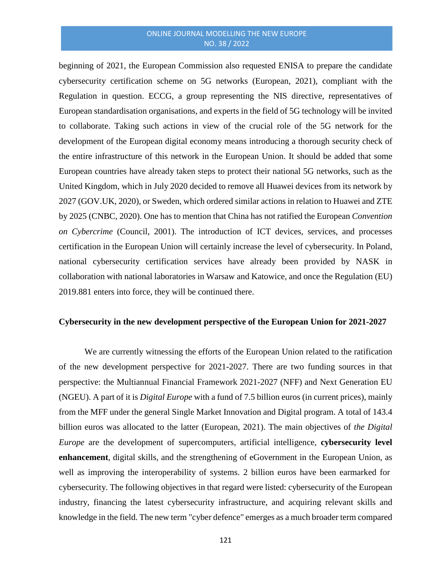beginning of 2021, the European Commission also requested ENISA to prepare the candidate cybersecurity certification scheme on 5G networks (European, 2021), compliant with the Regulation in question. ECCG, a group representing the NIS directive, representatives of European standardisation organisations, and experts in the field of 5G technology will be invited to collaborate. Taking such actions in view of the crucial role of the 5G network for the development of the European digital economy means introducing a thorough security check of the entire infrastructure of this network in the European Union. It should be added that some European countries have already taken steps to protect their national 5G networks, such as the United Kingdom, which in July 2020 decided to remove all Huawei devices from its network by 2027 (GOV.UK, 2020), or Sweden, which ordered similar actions in relation to Huawei and ZTE by 2025 (CNBC, 2020). One has to mention that China has not ratified the European *Convention on Cybercrime* (Council, 2001). The introduction of ICT devices, services, and processes certification in the European Union will certainly increase the level of cybersecurity. In Poland, national cybersecurity certification services have already been provided by NASK in collaboration with national laboratories in Warsaw and Katowice, and once the Regulation (EU) 2019.881 enters into force, they will be continued there.

#### **Cybersecurity in the new development perspective of the European Union for 2021-2027**

We are currently witnessing the efforts of the European Union related to the ratification of the new development perspective for 2021-2027. There are two funding sources in that perspective: the Multiannual Financial Framework 2021-2027 (NFF) and Next Generation EU (NGEU). A part of it is *Digital Europe* with a fund of 7.5 billion euros (in current prices), mainly from the MFF under the general Single Market Innovation and Digital program. A total of 143.4 billion euros was allocated to the latter (European, 2021). The main objectives of *the Digital Europe* are the development of supercomputers, artificial intelligence, **cybersecurity level enhancement**, digital skills, and the strengthening of eGovernment in the European Union, as well as improving the interoperability of systems. 2 billion euros have been earmarked for cybersecurity. The following objectives in that regard were listed: cybersecurity of the European industry, financing the latest cybersecurity infrastructure, and acquiring relevant skills and knowledge in the field. The new term "cyber defence" emerges as a much broader term compared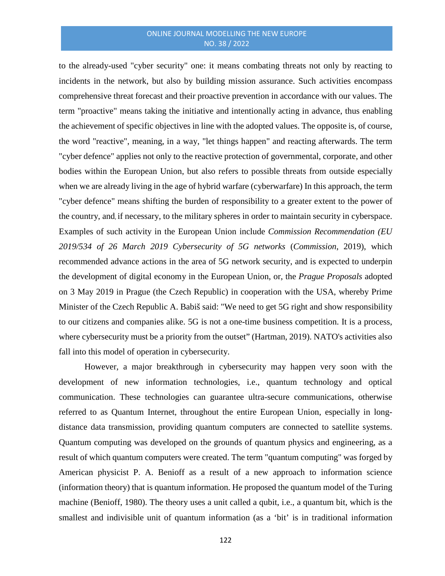to the already-used "cyber security" one: it means combating threats not only by reacting to incidents in the network, but also by building mission assurance. Such activities encompass comprehensive threat forecast and their proactive prevention in accordance with our values. The term "proactive" means taking the initiative and intentionally acting in advance, thus enabling the achievement of specific objectives in line with the adopted values. The opposite is, of course, the word "reactive", meaning, in a way, "let things happen" and reacting afterwards. The term "cyber defence" applies not only to the reactive protection of governmental, corporate, and other bodies within the European Union, but also refers to possible threats from outside especially when we are already living in the age of hybrid warfare (cyberwarfare) In this approach, the term "cyber defence" means shifting the burden of responsibility to a greater extent to the power of the country, and, if necessary, to the military spheres in order to maintain security in cyberspace. Examples of such activity in the European Union include *Commission Recommendation (EU 2019/534 of 26 March 2019 Cybersecurity of 5G networks* (*Commission*, 2019), which recommended advance actions in the area of 5G network security, and is expected to underpin the development of digital economy in the European Union, or, the *Prague Proposals* adopted on 3 May 2019 in Prague (the Czech Republic) in cooperation with the USA, whereby Prime Minister of the Czech Republic A. Babiš said: "We need to get 5G right and show responsibility to our citizens and companies alike. 5G is not a one-time business competition. It is a process, where cybersecurity must be a priority from the outset" (Hartman, 2019). NATO's activities also fall into this model of operation in cybersecurity.

However, a major breakthrough in cybersecurity may happen very soon with the development of new information technologies, i.e., quantum technology and optical communication. These technologies can guarantee ultra-secure communications, otherwise referred to as Quantum Internet, throughout the entire European Union, especially in longdistance data transmission, providing quantum computers are connected to satellite systems. Quantum computing was developed on the grounds of quantum physics and engineering, as a result of which quantum computers were created. The term "quantum computing" was forged by American physicist P. A. Benioff as a result of a new approach to information science (information theory) that is quantum information. He proposed the quantum model of the Turing machine (Benioff, 1980). The theory uses a unit called a qubit, i.e., a quantum bit, which is the smallest and indivisible unit of quantum information (as a 'bit' is in traditional information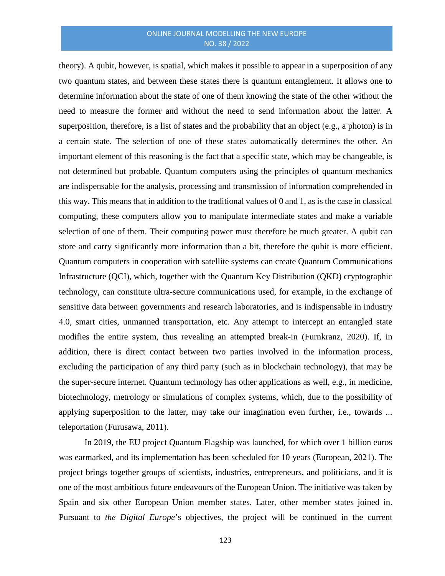theory). A qubit, however, is spatial, which makes it possible to appear in a superposition of any two quantum states, and between these states there is quantum entanglement. It allows one to determine information about the state of one of them knowing the state of the other without the need to measure the former and without the need to send information about the latter. A superposition, therefore, is a list of states and the probability that an object (e.g., a photon) is in a certain state. The selection of one of these states automatically determines the other. An important element of this reasoning is the fact that a specific state, which may be changeable, is not determined but probable. Quantum computers using the principles of quantum mechanics are indispensable for the analysis, processing and transmission of information comprehended in this way. This means that in addition to the traditional values of 0 and 1, as is the case in classical computing, these computers allow you to manipulate intermediate states and make a variable selection of one of them. Their computing power must therefore be much greater. A qubit can store and carry significantly more information than a bit, therefore the qubit is more efficient. Quantum computers in cooperation with satellite systems can create Quantum Communications Infrastructure (QCI), which, together with the Quantum Key Distribution (QKD) cryptographic technology, can constitute ultra-secure communications used, for example, in the exchange of sensitive data between governments and research laboratories, and is indispensable in industry 4.0, smart cities, unmanned transportation, etc. Any attempt to intercept an entangled state modifies the entire system, thus revealing an attempted break-in (Furnkranz, 2020). If, in addition, there is direct contact between two parties involved in the information process, excluding the participation of any third party (such as in blockchain technology), that may be the super-secure internet. Quantum technology has other applications as well, e.g., in medicine, biotechnology, metrology or simulations of complex systems, which, due to the possibility of applying superposition to the latter, may take our imagination even further, i.e., towards ... teleportation (Furusawa, 2011).

In 2019, the EU project Quantum Flagship was launched, for which over 1 billion euros was earmarked, and its implementation has been scheduled for 10 years (European, 2021). The project brings together groups of scientists, industries, entrepreneurs, and politicians, and it is one of the most ambitious future endeavours of the European Union. The initiative was taken by Spain and six other European Union member states. Later, other member states joined in. Pursuant to *the Digital Europe*'s objectives, the project will be continued in the current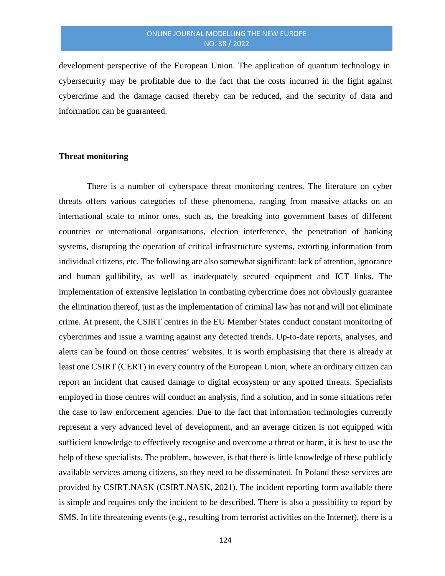development perspective of the European Union. The application of quantum technology in cybersecurity may be profitable due to the fact that the costs incurred in the fight against cybercrime and the damage caused thereby can be reduced, and the security of data and information can be guaranteed.

# **Threat monitoring**

There is a number of cyberspace threat monitoring centres. The literature on cyber threats offers various categories of these phenomena, ranging from massive attacks on an international scale to minor ones, such as, the breaking into government bases of different countries or international organisations, election interference, the penetration of banking systems, disrupting the operation of critical infrastructure systems, extorting information from individual citizens, etc. The following are also somewhat significant: lack of attention, ignorance and human gullibility, as well as inadequately secured equipment and ICT links. The implementation of extensive legislation in combating cybercrime does not obviously guarantee the elimination thereof, just as the implementation of criminal law has not and will not eliminate crime. At present, the CSIRT centres in the EU Member States conduct constant monitoring of cybercrimes and issue a warning against any detected trends. Up-to-date reports, analyses, and alerts can be found on those centres' websites. It is worth emphasising that there is already at least one CSIRT (CERT) in every country of the European Union, where an ordinary citizen can report an incident that caused damage to digital ecosystem or any spotted threats. Specialists employed in those centres will conduct an analysis, find a solution, and in some situations refer the case to law enforcement agencies. Due to the fact that information technologies currently represent a very advanced level of development, and an average citizen is not equipped with sufficient knowledge to effectively recognise and overcome a threat or harm, it is best to use the help of these specialists. The problem, however, is that there is little knowledge of these publicly available services among citizens, so they need to be disseminated. In Poland these services are provided by CSIRT.NASK (CSIRT.NASK, 2021). The incident reporting form available there is simple and requires only the incident to be described. There is also a possibility to report by SMS. In life threatening events (e.g., resulting from terrorist activities on the Internet), there is a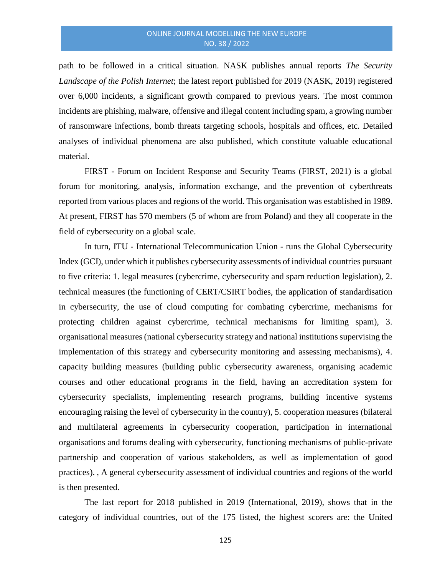path to be followed in a critical situation. NASK publishes annual reports *The Security Landscape of the Polish Internet*; the latest report published for 2019 (NASK, 2019) registered over 6,000 incidents, a significant growth compared to previous years. The most common incidents are phishing, malware, offensive and illegal content including spam, a growing number of ransomware infections, bomb threats targeting schools, hospitals and offices, etc. Detailed analyses of individual phenomena are also published, which constitute valuable educational material.

FIRST - Forum on Incident Response and Security Teams (FIRST, 2021) is a global forum for monitoring, analysis, information exchange, and the prevention of cyberthreats reported from various places and regions of the world. This organisation was established in 1989. At present, FIRST has 570 members (5 of whom are from Poland) and they all cooperate in the field of cybersecurity on a global scale.

In turn, ITU - International Telecommunication Union - runs the Global Cybersecurity Index (GCI), under which it publishes cybersecurity assessments of individual countries pursuant to five criteria: 1. legal measures (cybercrime, cybersecurity and spam reduction legislation), 2. technical measures (the functioning of CERT/CSIRT bodies, the application of standardisation in cybersecurity, the use of cloud computing for combating cybercrime, mechanisms for protecting children against cybercrime, technical mechanisms for limiting spam), 3. organisational measures (national cybersecurity strategy and national institutions supervising the implementation of this strategy and cybersecurity monitoring and assessing mechanisms), 4. capacity building measures (building public cybersecurity awareness, organising academic courses and other educational programs in the field, having an accreditation system for cybersecurity specialists, implementing research programs, building incentive systems encouraging raising the level of cybersecurity in the country), 5. cooperation measures (bilateral and multilateral agreements in cybersecurity cooperation, participation in international organisations and forums dealing with cybersecurity, functioning mechanisms of public-private partnership and cooperation of various stakeholders, as well as implementation of good practices). , A general cybersecurity assessment of individual countries and regions of the world is then presented.

The last report for 2018 published in 2019 (International, 2019), shows that in the category of individual countries, out of the 175 listed, the highest scorers are: the United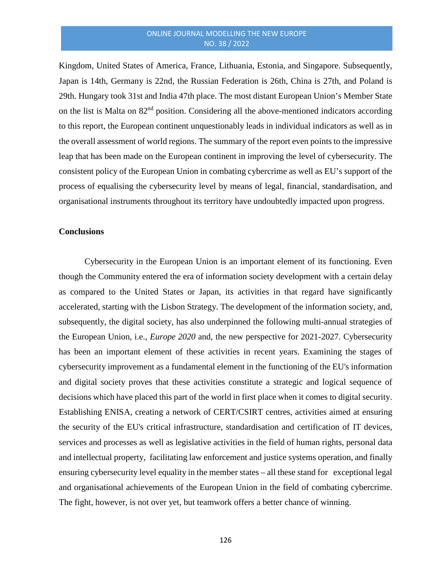Kingdom, United States of America, France, Lithuania, Estonia, and Singapore. Subsequently, Japan is 14th, Germany is 22nd, the Russian Federation is 26th, China is 27th, and Poland is 29th. Hungary took 31st and India 47th place. The most distant European Union's Member State on the list is Malta on  $82<sup>nd</sup>$  position. Considering all the above-mentioned indicators according to this report, the European continent unquestionably leads in individual indicators as well as in the overall assessment of world regions. The summary of the report even points to the impressive leap that has been made on the European continent in improving the level of cybersecurity. The consistent policy of the European Union in combating cybercrime as well as EU's support of the process of equalising the cybersecurity level by means of legal, financial, standardisation, and organisational instruments throughout its territory have undoubtedly impacted upon progress.

#### **Conclusions**

Cybersecurity in the European Union is an important element of its functioning. Even though the Community entered the era of information society development with a certain delay as compared to the United States or Japan, its activities in that regard have significantly accelerated, starting with the Lisbon Strategy. The development of the information society, and, subsequently, the digital society, has also underpinned the following multi-annual strategies of the European Union, i.e., *Europe 2020* and, the new perspective for 2021-2027. Cybersecurity has been an important element of these activities in recent years. Examining the stages of cybersecurity improvement as a fundamental element in the functioning of the EU's information and digital society proves that these activities constitute a strategic and logical sequence of decisions which have placed this part of the world in first place when it comes to digital security. Establishing ENISA, creating a network of CERT/CSIRT centres, activities aimed at ensuring the security of the EU's critical infrastructure, standardisation and certification of IT devices, services and processes as well as legislative activities in the field of human rights, personal data and intellectual property, facilitating law enforcement and justice systems operation, and finally ensuring cybersecurity level equality in the member states – all these stand for exceptional legal and organisational achievements of the European Union in the field of combating cybercrime. The fight, however, is not over yet, but teamwork offers a better chance of winning.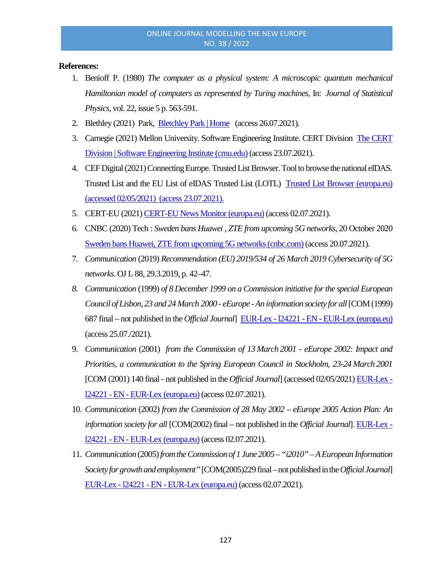# **References:**

- 1. Benioff P. (1980) *The computer as a physical system: A microscopic quantum mechanical Hamiltonian model of computers as represented by Turing machines*, In: *Journal of Statistical Physics*, vol. 22, issue 5 p. 563-591.
- 2. Blethley (2021) Park, [Bletchley Park | Home](https://www.bletchleypark.org.uk/) (access 26.07.2021).
- 3. Carnegie (2021) Mellon University. Software Engineering Institute. CERT Division [The CERT](https://www.sei.cmu.edu/about/divisions/cert/)  [Division | Software Engineering Institute \(cmu.edu\)](https://www.sei.cmu.edu/about/divisions/cert/) (access 23.07.2021).
- 4. CEF Digital (2021) Connecting Europe. Trusted List Browser. Tool to browse the national eIDAS. Trusted List and the EU List of eIDAS Trusted List (LOTL) [Trusted List Browser \(europa.eu\)](https://webgate.ec.europa.eu/tl-browser/#/)  (accessed 02/05/2021) (access 23.07.2021).
- 5. CERT-EU (2021[\) CERT-EU News Monitor \(europa.eu\)](https://cert.europa.eu/cert/filteredition/en/CERT-LatestNews.html) (access 02.07.2021).
- 6. CNBC (2020) Tech : *Sweden bans Huawei , ZTE from upcoming 5G networks,* 20 October 2020 [Sweden bans Huawei, ZTE from upcoming 5G networks \(cnbc.com\)](https://www.cnbc.com/2020/10/20/sweden-bans-huawei-zte-gear-from-5g-spectrum-auction.html) (access 20.07.2021).
- 7. *Communication* (2019) *Recommendation (EU) 2019/534 of 26 March 2019 Cybersecurity of 5G networks*. OJ L 88, 29.3.2019, p. 42–47.
- *8. Communication* (1999) *of 8 December 1999 on a Commission initiative for the special European Council of Lisbon, 23 and 24 March 2000 - eEurope -An information society for all*[COM (1999) 687 final – not published in the *Official Journal*] EUR-Lex - l24221 - EN - [EUR-Lex \(europa.eu\)](https://eur-lex.europa.eu/legal-content/EN/TXT/?uri=legissum%3Al24221) (access 25.07./2021).
- 9. *Communication* (2001) *from the Commission of 13 March 2001 - eEurope 2002: Impact and Priorities, a communication to the Spring European Council in Stockholm, 23-24 March 2001* [COM (2001) 140 final - not published in the *Official Journal*] (accessed 02/05/2021) [EUR-Lex](https://eur-lex.europa.eu/legal-content/EN/TXT/?uri=legissum%3Al24221)  l24221 - EN - [EUR-Lex \(europa.eu\)](https://eur-lex.europa.eu/legal-content/EN/TXT/?uri=legissum%3Al24221) (access 02.07.2021).
- 10. *Communication* (2002) *from the Commission of 28 May 2002 – eEurope 2005 Action Plan: An information society for all* [COM(2002) final – not published in the *Official Journal*]. [EUR-Lex](https://eur-lex.europa.eu/legal-content/EN/TXT/?uri=legissum%3Al24221)  l24221 - EN - [EUR-Lex \(europa.eu\)](https://eur-lex.europa.eu/legal-content/EN/TXT/?uri=legissum%3Al24221) (access 02.07.2021).
- 11. *Communication* (2005) *from the Commission of 1 June 2005 –"i2010" –A European Information Society for growth and employment"*[COM(2005)229 final –not published in the *Official Journal*] EUR-Lex - l24221 - EN - [EUR-Lex \(europa.eu\)](https://eur-lex.europa.eu/legal-content/EN/TXT/?uri=legissum%3Al24221) (access 02.07.2021).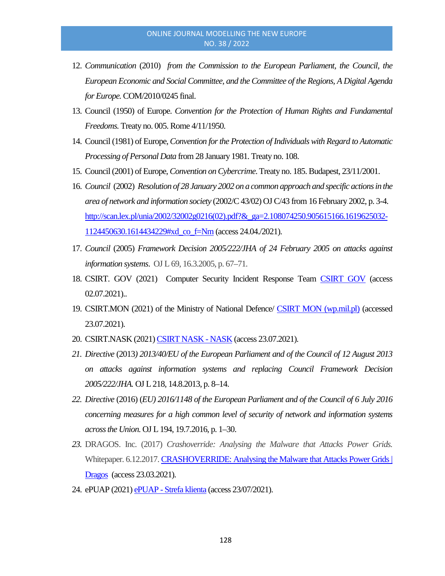- 12. *Communication* (2010) *from the Commission to the European Parliament, the Council, the European Economic and Social Committee, and the Committee of the Regions, A Digital Agenda for Europe.* COM/2010/0245 final.
- 13. Council (1950) of Europe. *Convention for the Protection of Human Rights and Fundamental Freedoms.* Treaty no. 005. Rome 4/11/1950.
- 14. Council (1981) of Europe, *Convention for the Protection of Individuals with Regard to Automatic Processing of Personal Data* from 28 January 1981. Treaty no. 108.
- 15. Council (2001) of Europe, *Convention on Cybercrime*. Treaty no. 185. Budapest, 23/11/2001.
- 16. *Council* (2002) *Resolution of 28 January 2002 on a common approach and specific actions in the area of network and information society* (2002/C 43/02) OJ C/43 from 16 February 2002, p. 3-4. [http://scan.lex.pl/unia/2002/32002g0216\(02\).pdf?&\\_ga=2.108074250.905615166.1619625032-](http://scan.lex.pl/unia/2002/32002g0216(02).pdf?&_ga=2.108074250.905615166.1619625032-1124450630.1614434229#xd_co_f=Nm) [1124450630.1614434229#xd\\_co\\_f=Nm](http://scan.lex.pl/unia/2002/32002g0216(02).pdf?&_ga=2.108074250.905615166.1619625032-1124450630.1614434229#xd_co_f=Nm) (access 24.04./2021).
- 17. *Council* (2005) *Framework Decision 2005/222/JHA of 24 February 2005 on attacks against information systems*. OJ L 69, 16.3.2005, p. 67–71.
- 18. CSIRT. GOV (2021) Computer Security Incident Response Team [CSIRT GOV](https://csirt.gov.pl/) (access 02.07.2021)..
- 19. CSIRT.MON (2021) of the Ministry of National Defence/ [CSIRT MON \(wp.mil.pl\)](https://csirt-mon.wp.mil.pl/en/) (accessed 23.07.2021).
- 20. CSIRT.NASK (2021[\) CSIRT NASK -](https://www.nask.pl/pl/dzialalnosc/csirt-nask/3424,CSIRT-NASK.html) NASK (access 23.07.2021).
- *21. Directive* (2013*) 2013/40/EU of the European Parliament and of the Council of 12 August 2013 on attacks against information systems and replacing Council Framework Decision 2005/222/JHA.* OJ L 218, 14.8.2013, p. 8–14.
- *22. Directive* (2016) (*EU) 2016/1148 of the European Parliament and of the Council of 6 July 2016 concerning measures for a high common level of security of network and information systems across the Union.* OJ L 194, 19.7.2016, p. 1–30.
- *23.* DRAGOS. Inc. (2017) *Crashoverride: Analysing the Malware that Attacks Power Grids.*  Whitepaper. 6.12.2017. CRASHOVERRIDE: Analysing the Malware that Attacks Power Grids | [Dragos](https://www.dragos.com/resource/crashoverride-analyzing-the-malware-that-attacks-power-grids/) (access 23.03.2021).
- 24. ePUAP (2021) ePUAP [Strefa klienta](https://epuap.gov.pl/wps/portal) (access 23/07/2021).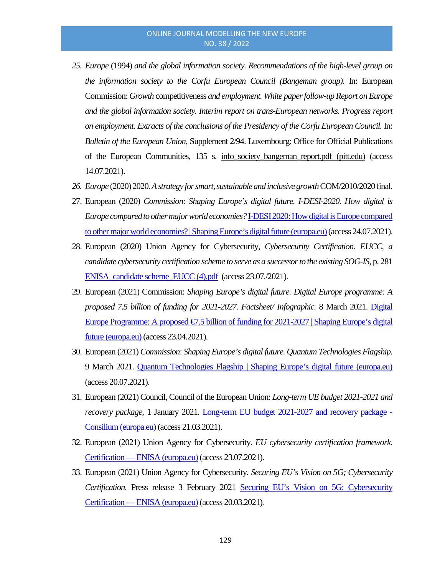- *25. Europe* (1994) *and the global information society. Recommendations of the high-level group on the information society to the Corfu European Council (Bangeman group)*. In: European Commission: *Growth* competitiveness *and employment. White paper follow-up Report on Europe and the global information society. Interim report on trans-European networks. Progress report on employment. Extracts of the conclusions of the Presidency of the Corfu European Council.* In: *Bulletin of the European Union*, Supplement 2/94. Luxembourg: Office for Official Publications of the European Communities, 135 s. [info\\_society\\_bangeman\\_report.pdf \(pitt.edu\)](http://aei.pitt.edu/1199/1/info_society_bangeman_report.pdf) (access 14.07.2021).
- *26. Europe* (2020) 2020*. A strategy for smart, sustainable and inclusive growth*COM/2010/2020 final.
- 27. European (2020) *Commission*: *Shaping Europe's digital future. I-DESI-2020. How digital is Europe compared to other major world economies?*[I-DESI 2020: How digital is Europe compared](https://digital-strategy.ec.europa.eu/en/library/i-desi-2020-how-digital-europe-compared-other-major-world-economies)  [to other major world economies? | Shaping Europe's digital future \(europa.eu\)\(](https://digital-strategy.ec.europa.eu/en/library/i-desi-2020-how-digital-europe-compared-other-major-world-economies)access 24.07.2021).
- 28. European (2020) Union Agency for Cybersecurity, *Cybersecurity Certification. EUCC, a candidate cybersecurity certification scheme to serve as a successor to the existing SOG-IS,* p. 281 ENISA\_candidate scheme\_EUCC (4).pdf (access 23.07./2021).
- 29. European (2021) Commission: *Shaping Europe's digital future. Digital Europe programme: A proposed 7.5 billion of funding for 2021-2027. Factsheet/ Infographic.* 8 March 2021. [Digital](https://digital-strategy.ec.europa.eu/en/library/digital-europe-programme-proposed-eu75-billion-funding-2021-2027)  [Europe Programme: A proposed €7.5 billion of funding for 2021-2027 | Shaping Europe's digital](https://digital-strategy.ec.europa.eu/en/library/digital-europe-programme-proposed-eu75-billion-funding-2021-2027)  [future \(europa.eu\)](https://digital-strategy.ec.europa.eu/en/library/digital-europe-programme-proposed-eu75-billion-funding-2021-2027) (access 23.04.2021).
- 30. European (2021) *Commission*: *Shaping Europe's digital future. Quantum Technologies Flagship.*  9 March 2021. [Quantum Technologies Flagship | Shaping Europe's digital future \(europa.eu\)](https://digital-strategy.ec.europa.eu/en/policies/quantum-technologies-flagship) (access 20.07.2021).
- 31. European (2021) Council, Council of the European Union: *Long-term UE budget 2021-2021 and recovery package,* 1 January 2021. [Long-term EU budget 2021-2027 and recovery package -](https://www.consilium.europa.eu/en/policies/the-eu-budget/long-term-eu-budget-2021-2027/) [Consilium \(europa.eu\)](https://www.consilium.europa.eu/en/policies/the-eu-budget/long-term-eu-budget-2021-2027/) (access 21.03.2021).
- 32. European (2021) Union Agency for Cybersecurity. *EU cybersecurity certification framework.*  Certification — [ENISA \(europa.eu\)](https://www.enisa.europa.eu/topics/standards/certification) (access 23.07.2021).
- 33. European (2021) Union Agency for Cybersecurity*. Securing EU's Vision on 5G; Cybersecurity Certification.* Press release 3 February 2021 [Securing EU's Vision on 5G: Cybersecurity](https://www.enisa.europa.eu/news/enisa-news/securing_eu_vision_on_5g_cybersecurity_certification)  Certification — [ENISA \(europa.eu\)](https://www.enisa.europa.eu/news/enisa-news/securing_eu_vision_on_5g_cybersecurity_certification) (access 20.03.2021)*.*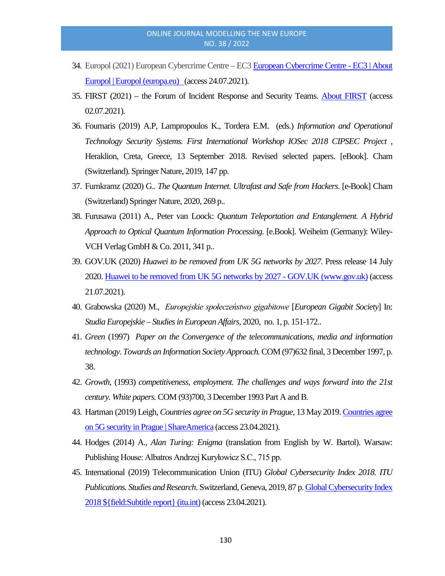- 34. Europol (2021) European Cybercrime Centre EC[3 European Cybercrime Centre -](https://www.europol.europa.eu/about-europol/european-cybercrime-centre-ec3) EC3 | About [Europol | Europol \(europa.eu\)](https://www.europol.europa.eu/about-europol/european-cybercrime-centre-ec3) (access 24.07.2021).
- 35. FIRST (2021) the Forum of Incident Response and Security Teams. [About FIRST](https://www.first.org/about/) (access 02.07.2021).
- 36. Fournaris (2019) A.P, Lampropoulos K., Tordera E.M. (eds.) *Information and Operational Technology Security Systems. First International Workshop IOSec 2018 CIPSEC Project ,* Heraklion, Creta, Greece, 13 September 2018. Revised selected papers. [eBook]. Cham (Switzerland). Springer Nature, 2019, 147 pp.
- 37. Furnkramz (2020) G.. *The Quantum Internet. Ultrafast and Safe from Hackers*. [e-Book] Cham (Switzerland) Springer Nature, 2020, 269 p..
- 38. Furusawa (2011) A., Peter van Loock: *Quantum Teleportation and Entanglement. A Hybrid Approach to Optical Quantum Information Processing*. [e.Book]. Weiheim (Germany): Wiley-VCH Verlag GmbH & Co. 2011, 341 p..
- 39. GOV.UK (2020) *Huawei to be removed from UK 5G networks by 2027*. Press release 14 July 2020[. Huawei to be removed from UK 5G networks by 2027 -](https://www.gov.uk/government/news/huawei-to-be-removed-from-uk-5g-networks-by-2027) GOV.UK (www.gov.uk) (access 21.07.2021).
- 40. Grabowska (2020) M., *Europejskie społeczeństwo gigabitowe* [*European Gigabit Society*] In: *Studia Europejskie – Studies in European Affairs,* 2020, no. 1, p. 151-172..
- 41. *Green* (1997) *Paper on the Convergence of the telecommunications, media and information technology. Towards an Information Society Approach.*COM (97)632 final, 3 December 1997, p. 38.
- 42. *Growth,* (1993) *competitiveness, employment. The challenges and ways forward into the 21st century. White papers.*COM (93)700, 3 December 1993 Part A and B.
- 43. Hartman (2019) Leigh, *Countries agree on 5G security in Prague,* 13 May 2019. [Countries](https://share.america.gov/countries-agree-on-5g-security-in-prague/) agree [on 5G security in Prague | ShareAmerica](https://share.america.gov/countries-agree-on-5g-security-in-prague/) (access 23.04.2021).
- 44. Hodges (2014) A., *Alan Turing: Enigma* (translation from English by W. Bartol). Warsaw: Publishing House: Albatros Andrzej Kuryłowicz S.C., 715 pp.
- 45. International (2019) Telecommunication Union (ITU) *Global Cybersecurity Index 2018. ITU Publications. Studies and Research*. Switzerland, Geneva, 2019, 87 p[. Global Cybersecurity Index](https://www.itu.int/dms_pub/itu-d/opb/str/D-STR-GCI.01-2018-PDF-E.pdf)  [2018 \\${field:Subtitle report} \(itu.int\)](https://www.itu.int/dms_pub/itu-d/opb/str/D-STR-GCI.01-2018-PDF-E.pdf) (access 23.04.2021).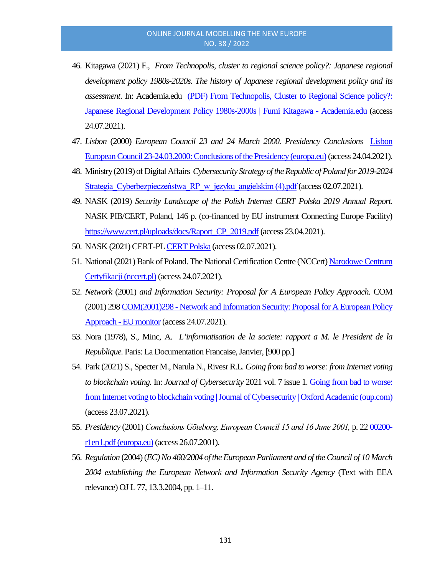- 46. Kitagawa (2021) F., *From Technopolis, cluster to regional science policy?: Japanese regional development policy 1980s-2020s. The history of Japanese regional development policy and its assessment*. In: Academia.edu [\(PDF\) From Technopolis, Cluster to Regional Science policy?:](https://www.academia.edu/2712569/From_Technopolis_Cluster_to_Regional_Science_policy_Japanese_Regional_Development_Policy_1980s_2000s)  [Japanese Regional Development Policy 1980s-2000s |](https://www.academia.edu/2712569/From_Technopolis_Cluster_to_Regional_Science_policy_Japanese_Regional_Development_Policy_1980s_2000s) Fumi Kitagawa - Academia.edu (access 24.07.2021).
- 47. *Lisbon* (2000) *European Council 23 and 24 March 2000. Presidency Conclusions* [Lisbon](https://www.europarl.europa.eu/summits/lis1_en.htm)  [European Council 23-24.03.2000: Conclusions of the Presidency \(europa.eu\)](https://www.europarl.europa.eu/summits/lis1_en.htm)(access 24.04.2021).
- 48. Ministry (2019) of Digital Affairs *Cybersecurity Strategy of the Republic of Poland for 2019-2024* Strategia Cyberbezpieczeństwa RP w języku angielskim (4).pdf (access 02.07.2021).
- 49. NASK (2019) *Security Landscape of the Polish Internet CERT Polska 2019 Annual Report.*  NASK PIB/CERT, Poland, 146 p. (co-financed by EU instrument Connecting Europe Facility) [https://www.cert.pl/uploads/docs/Raport\\_CP\\_2019.pdf](https://www.cert.pl/uploads/docs/Raport_CP_2019.pdf) (access 23.04.2021).
- 50. NASK (2021) CERT-P[L CERT Polska](https://www.cert.pl/) (access 02.07.2021).
- 51. National (2021) Bank of Poland. The National Certification Centre (NCCert[\) Narodowe Centrum](https://www.nccert.pl/)  [Certyfikacji \(nccert.pl\)](https://www.nccert.pl/) (access 24.07.2021).
- 52. *Network* (2001) *and Information Security: Proposal for A European Policy Approach.* COM (2001) 298COM(2001)298 - [Network and Information Security: Proposalfor A European Policy](https://www.eumonitor.eu/9353000/1/j9vvik7m1c3gyxp/vikqhjbr2gzy)  Approach - [EU monitor](https://www.eumonitor.eu/9353000/1/j9vvik7m1c3gyxp/vikqhjbr2gzy) (access 24.07.2021).
- 53. Nora (1978), S., Minc, A. *L'informatisation de la societe: rapport a M. le President de la Republique.* Paris: La Documentation Francaise, Janvier, [900 pp.]
- 54. Park (2021) S., Specter M., Narula N., Rivesr R.L. *Going from bad to worse: from Internet voting to blockchain voting.* In: *Journal of Cybersecurity* 2021 vol. 7 issue 1. [Going from bad to worse:](https://academic.oup.com/cybersecurity/article/7/1/tyaa025/6137886)  [from Internet voting to blockchain voting | Journal of Cybersecurity | Oxford Academic \(oup.com\)](https://academic.oup.com/cybersecurity/article/7/1/tyaa025/6137886) (access 23.07.2021).
- 55. *Presidency* (2001) *Conclusions Gōteborg. European Council 15 and 16 June 2001,* p. 22 [00200](https://www.consilium.europa.eu/media/20983/00200-r1en1.pdf) [r1en1.pdf \(europa.eu\)](https://www.consilium.europa.eu/media/20983/00200-r1en1.pdf) (access 26.07.2001).
- 56. *Regulation* (2004) (*EC) No 460/2004 of the European Parliament and of the Council of 10 March 2004 establishing the European Network and Information Security Agency* (Text with EEA relevance) OJ L 77, 13.3.2004, pp. 1–11.